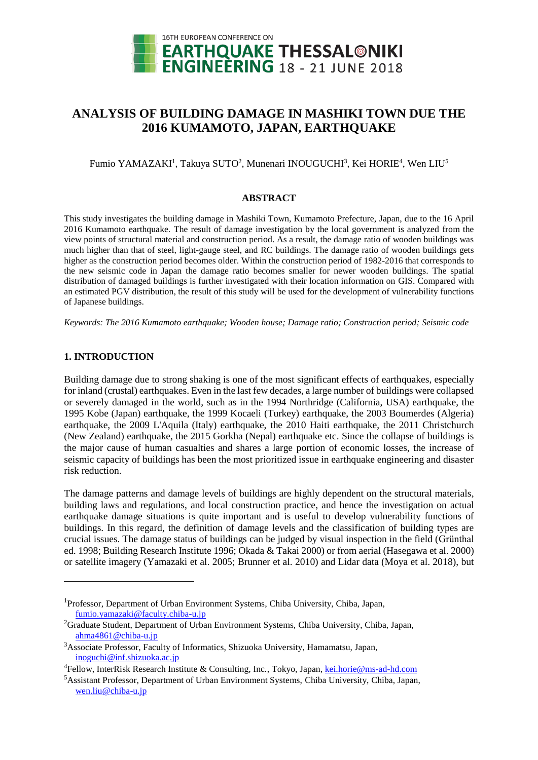

# **ANALYSIS OF BUILDING DAMAGE IN MASHIKI TOWN DUE THE 2016 KUMAMOTO, JAPAN, EARTHQUAKE**

Fumio YAMAZAKI<sup>1</sup>, Takuya SUTO<sup>2</sup>, Munenari INOUGUCHI<sup>3</sup>, Kei HORIE<sup>4</sup>, Wen LIU<sup>5</sup>

#### **ABSTRACT**

This study investigates the building damage in Mashiki Town, Kumamoto Prefecture, Japan, due to the 16 April 2016 Kumamoto earthquake. The result of damage investigation by the local government is analyzed from the view points of structural material and construction period. As a result, the damage ratio of wooden buildings was much higher than that of steel, light-gauge steel, and RC buildings. The damage ratio of wooden buildings gets higher as the construction period becomes older. Within the construction period of 1982-2016 that corresponds to the new seismic code in Japan the damage ratio becomes smaller for newer wooden buildings. The spatial distribution of damaged buildings is further investigated with their location information on GIS. Compared with an estimated PGV distribution, the result of this study will be used for the development of vulnerability functions of Japanese buildings.

*Keywords: The 2016 Kumamoto earthquake; Wooden house; Damage ratio; Construction period; Seismic code*

## **1. INTRODUCTION**

l

Building damage due to strong shaking is one of the most significant effects of earthquakes, especially for inland (crustal) earthquakes. Even in the last few decades, a large number of buildings were collapsed or severely damaged in the world, such as in the 1994 Northridge (California, USA) earthquake, the 1995 Kobe (Japan) earthquake, the 1999 Kocaeli (Turkey) earthquake, the 2003 Boumerdes (Algeria) earthquake, the 2009 L'Aquila (Italy) earthquake, the 2010 Haiti earthquake, the 2011 Christchurch (New Zealand) earthquake, the 2015 Gorkha (Nepal) earthquake etc. Since the collapse of buildings is the major cause of human casualties and shares a large portion of economic losses, the increase of seismic capacity of buildings has been the most prioritized issue in earthquake engineering and disaster risk reduction.

The damage patterns and damage levels of buildings are highly dependent on the structural materials, building laws and regulations, and local construction practice, and hence the investigation on actual earthquake damage situations is quite important and is useful to develop vulnerability functions of buildings. In this regard, the definition of damage levels and the classification of building types are crucial issues. The damage status of buildings can be judged by visual inspection in the field (Grünthal ed. 1998; Building Research Institute 1996; Okada & Takai 2000) or from aerial (Hasegawa et al. 2000) or satellite imagery (Yamazaki et al. 2005; Brunner et al. 2010) and Lidar data (Moya et al. 2018), but

<sup>1</sup>Professor, Department of Urban Environment Systems, Chiba University, Chiba, Japan, fumio.yamazaki@faculty.chiba-u.jp

<sup>2</sup>Graduate Student, Department of Urban Environment Systems, Chiba University, Chiba, Japan, ahma4861@chiba-u.jp

<sup>3</sup>Associate Professor, Faculty of Informatics, Shizuoka University, Hamamatsu, Japan, inoguchi@inf.shizuoka.ac.jp

<sup>4</sup>Fellow, InterRisk Research Institute & Consulting, Inc., Tokyo, Japan, kei.horie@ms-ad-hd.com

<sup>5</sup>Assistant Professor, Department of Urban Environment Systems, Chiba University, Chiba, Japan, wen.liu@chiba-u.jp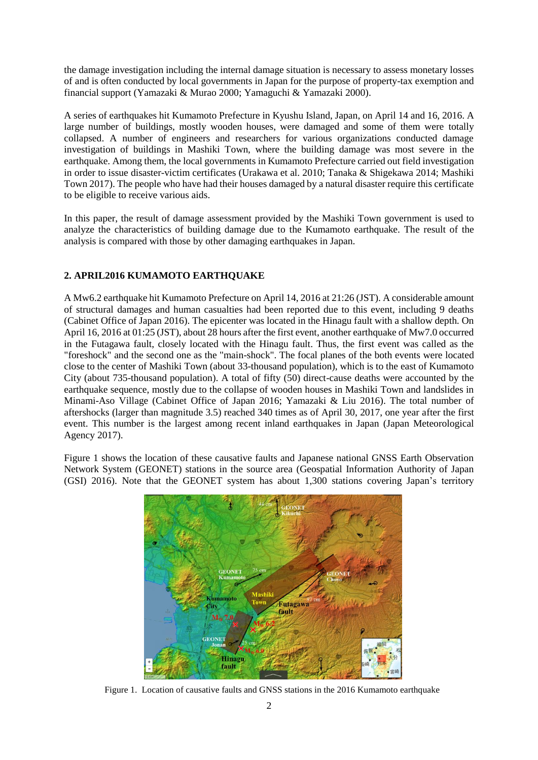the damage investigation including the internal damage situation is necessary to assess monetary losses of and is often conducted by local governments in Japan for the purpose of property-tax exemption and financial support (Yamazaki & Murao 2000; Yamaguchi & Yamazaki 2000).

A series of earthquakes hit Kumamoto Prefecture in Kyushu Island, Japan, on April 14 and 16, 2016. A large number of buildings, mostly wooden houses, were damaged and some of them were totally collapsed. A number of engineers and researchers for various organizations conducted damage investigation of buildings in Mashiki Town, where the building damage was most severe in the earthquake. Among them, the local governments in Kumamoto Prefecture carried out field investigation in order to issue disaster-victim certificates (Urakawa et al. 2010; Tanaka & Shigekawa 2014; Mashiki Town 2017). The people who have had their houses damaged by a natural disaster require this certificate to be eligible to receive various aids.

In this paper, the result of damage assessment provided by the Mashiki Town government is used to analyze the characteristics of building damage due to the Kumamoto earthquake. The result of the analysis is compared with those by other damaging earthquakes in Japan.

# **2. APRIL2016 KUMAMOTO EARTHQUAKE**

A Mw6.2 earthquake hit Kumamoto Prefecture on April 14, 2016 at 21:26 (JST). A considerable amount of structural damages and human casualties had been reported due to this event, including 9 deaths (Cabinet Office of Japan 2016). The epicenter was located in the Hinagu fault with a shallow depth. On April 16, 2016 at 01:25 (JST), about 28 hours after the first event, another earthquake of Mw7.0 occurred in the Futagawa fault, closely located with the Hinagu fault. Thus, the first event was called as the "foreshock" and the second one as the "main-shock". The focal planes of the both events were located close to the center of Mashiki Town (about 33-thousand population), which is to the east of Kumamoto City (about 735-thousand population). A total of fifty (50) direct-cause deaths were accounted by the earthquake sequence, mostly due to the collapse of wooden houses in Mashiki Town and landslides in Minami-Aso Village (Cabinet Office of Japan 2016; Yamazaki & Liu 2016). The total number of aftershocks (larger than magnitude 3.5) reached 340 times as of April 30, 2017, one year after the first event. This number is the largest among recent inland earthquakes in Japan (Japan Meteorological Agency 2017).

Figure 1 shows the location of these causative faults and Japanese national GNSS Earth Observation Network System (GEONET) stations in the source area (Geospatial Information Authority of Japan (GSI) 2016). Note that the GEONET system has about 1,300 stations covering Japan's territory



Figure 1. Location of causative faults and GNSS stations in the 2016 Kumamoto earthquake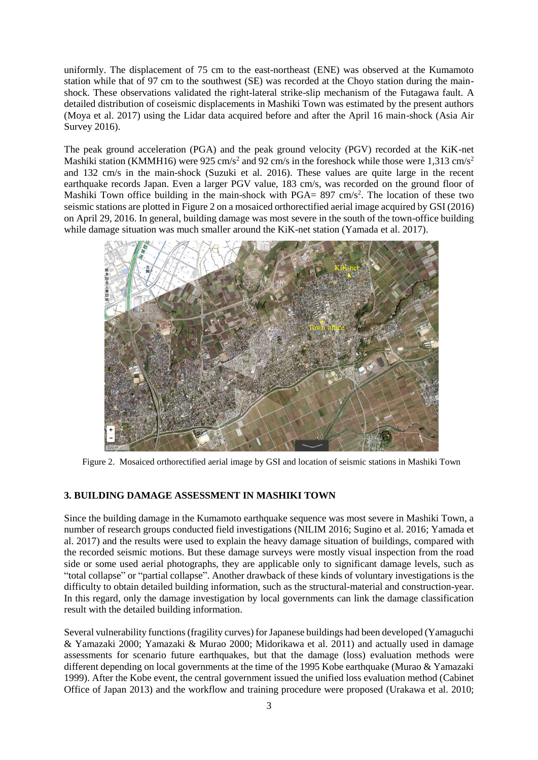uniformly. The displacement of 75 cm to the east-northeast (ENE) was observed at the Kumamoto station while that of 97 cm to the southwest (SE) was recorded at the Choyo station during the mainshock. These observations validated the right-lateral strike-slip mechanism of the Futagawa fault. A detailed distribution of coseismic displacements in Mashiki Town was estimated by the present authors (Moya et al. 2017) using the Lidar data acquired before and after the April 16 main-shock (Asia Air Survey 2016).

The peak ground acceleration (PGA) and the peak ground velocity (PGV) recorded at the KiK-net Mashiki station (KMMH16) were 925 cm/s<sup>2</sup> and 92 cm/s in the foreshock while those were 1,313 cm/s<sup>2</sup> and 132 cm/s in the main-shock (Suzuki et al. 2016). These values are quite large in the recent earthquake records Japan. Even a larger PGV value, 183 cm/s, was recorded on the ground floor of Mashiki Town office building in the main-shock with  $PGA = 897$  cm/s<sup>2</sup>. The location of these two seismic stations are plotted in Figure 2 on a mosaiced orthorectified aerial image acquired by GSI (2016) on April 29, 2016. In general, building damage was most severe in the south of the town-office building while damage situation was much smaller around the KiK-net station (Yamada et al. 2017).



Figure 2. Mosaiced orthorectified aerial image by GSI and location of seismic stations in Mashiki Town

## **3. BUILDING DAMAGE ASSESSMENT IN MASHIKI TOWN**

Since the building damage in the Kumamoto earthquake sequence was most severe in Mashiki Town, a number of research groups conducted field investigations (NILIM 2016; Sugino et al. 2016; Yamada et al. 2017) and the results were used to explain the heavy damage situation of buildings, compared with the recorded seismic motions. But these damage surveys were mostly visual inspection from the road side or some used aerial photographs, they are applicable only to significant damage levels, such as "total collapse" or "partial collapse". Another drawback of these kinds of voluntary investigations is the difficulty to obtain detailed building information, such as the structural-material and construction-year. In this regard, only the damage investigation by local governments can link the damage classification result with the detailed building information.

Several vulnerability functions (fragility curves) for Japanese buildings had been developed (Yamaguchi & Yamazaki 2000; Yamazaki & Murao 2000; Midorikawa et al. 2011) and actually used in damage assessments for scenario future earthquakes, but that the damage (loss) evaluation methods were different depending on local governments at the time of the 1995 Kobe earthquake (Murao & Yamazaki 1999). After the Kobe event, the central government issued the unified loss evaluation method (Cabinet Office of Japan 2013) and the workflow and training procedure were proposed (Urakawa et al. 2010;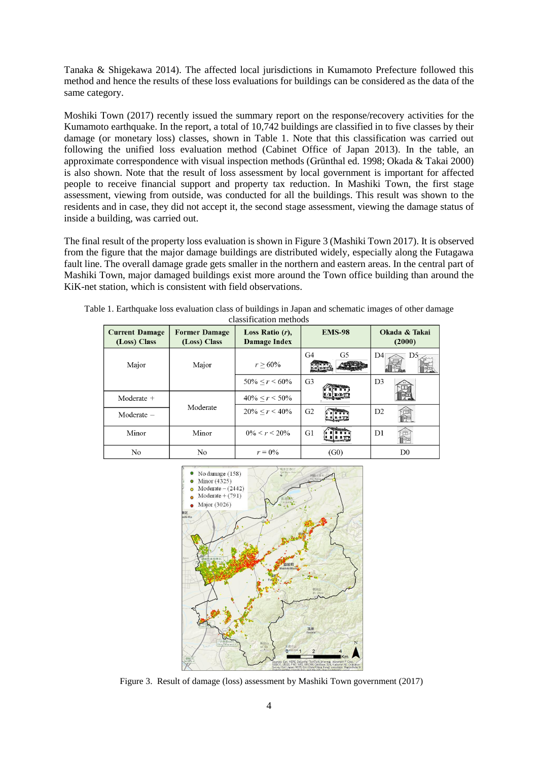Tanaka & Shigekawa 2014). The affected local jurisdictions in Kumamoto Prefecture followed this method and hence the results of these loss evaluations for buildings can be considered as the data of the same category.

Moshiki Town (2017) recently issued the summary report on the response/recovery activities for the Kumamoto earthquake. In the report, a total of 10,742 buildings are classified in to five classes by their damage (or monetary loss) classes, shown in Table 1. Note that this classification was carried out following the unified loss evaluation method (Cabinet Office of Japan 2013). In the table, an approximate correspondence with visual inspection methods (Grünthal ed. 1998; Okada & Takai 2000) is also shown. Note that the result of loss assessment by local government is important for affected people to receive financial support and property tax reduction. In Mashiki Town, the first stage assessment, viewing from outside, was conducted for all the buildings. This result was shown to the residents and in case, they did not accept it, the second stage assessment, viewing the damage status of inside a building, was carried out.

The final result of the property loss evaluation is shown in Figure 3 (Mashiki Town 2017). It is observed from the figure that the major damage buildings are distributed widely, especially along the Futagawa fault line. The overall damage grade gets smaller in the northern and eastern areas. In the central part of Mashiki Town, major damaged buildings exist more around the Town office building than around the KiK-net station, which is consistent with field observations.

| <b>Current Damage</b><br>(Loss) Class | <b>Former Damage</b><br>(Loss) Class | Loss Ratio $(r)$ ,<br><b>Damage Index</b> | <b>EMS-98</b>  | Okada & Takai<br>(2000) |
|---------------------------------------|--------------------------------------|-------------------------------------------|----------------|-------------------------|
| Major                                 | Major                                | $r > 60\%$                                | G5<br>G4       | D4<br>D <sub>5</sub>    |
|                                       |                                      | $50\% < r < 60\%$                         | G <sub>3</sub> | D <sub>3</sub>          |
| $Modernate +$                         |                                      | $40\% < r < 50\%$                         |                |                         |
| Moderate -                            | Moderate                             | $20\% < r < 40\%$                         | G <sub>2</sub> | D2                      |
| Minor                                 | Minor                                | $0\% \leq r \leq 20\%$                    | G1             | D1                      |
| No                                    | No                                   | $r = 0\%$                                 | (G0)           | D <sub>0</sub>          |

Table 1. Earthquake loss evaluation class of buildings in Japan and schematic images of other damage classification methods



Figure 3. Result of damage (loss) assessment by Mashiki Town government (2017)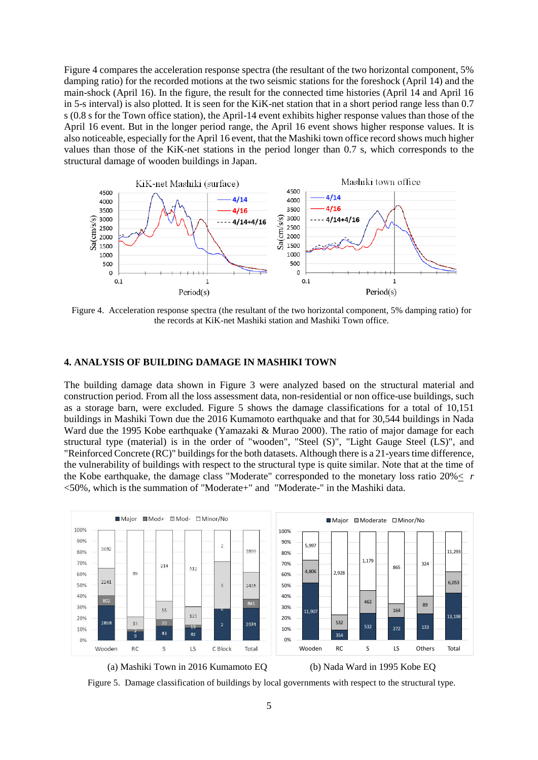Figure 4 compares the acceleration response spectra (the resultant of the two horizontal component, 5% damping ratio) for the recorded motions at the two seismic stations for the foreshock (April 14) and the main-shock (April 16). In the figure, the result for the connected time histories (April 14 and April 16 in 5-s interval) is also plotted. It is seen for the KiK-net station that in a short period range less than 0.7 s (0.8 s for the Town office station), the April-14 event exhibits higher response values than those of the April 16 event. But in the longer period range, the April 16 event shows higher response values. It is also noticeable, especially for the April 16 event, that the Mashiki town office record shows much higher values than those of the KiK-net stations in the period longer than 0.7 s, which corresponds to the structural damage of wooden buildings in Japan.



Figure 4. Acceleration response spectra (the resultant of the two horizontal component, 5% damping ratio) for the records at KiK-net Mashiki station and Mashiki Town office.

#### **4. ANALYSIS OF BUILDING DAMAGE IN MASHIKI TOWN**

The building damage data shown in Figure 3 were analyzed based on the structural material and construction period. From all the loss assessment data, non-residential or non office-use buildings, such as a storage barn, were excluded. Figure 5 shows the damage classifications for a total of 10,151 buildings in Mashiki Town due the 2016 Kumamoto earthquake and that for 30,544 buildings in Nada Ward due the 1995 Kobe earthquake (Yamazaki & Murao 2000). The ratio of major damage for each structural type (material) is in the order of "wooden", "Steel (S)", "Light Gauge Steel (LS)", and "Reinforced Concrete (RC)" buildings for the both datasets. Although there is a 21-years time difference, the vulnerability of buildings with respect to the structural type is quite similar. Note that at the time of the Kobe earthquake, the damage class "Moderate" corresponded to the monetary loss ratio 20%< *r* <50%, which is the summation of "Moderate+" and "Moderate-" in the Mashiki data.



(a) Mashiki Town in 2016 Kumamoto EQ (b) Nada Ward in 1995 Kobe EQ

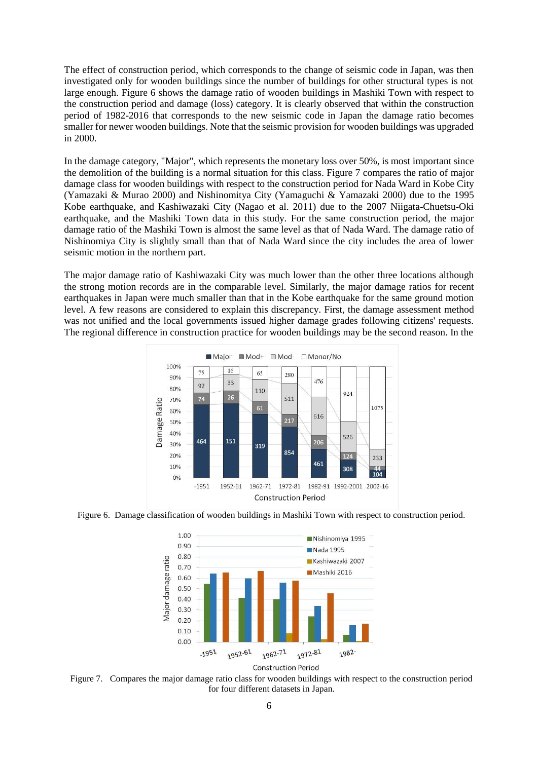The effect of construction period, which corresponds to the change of seismic code in Japan, was then investigated only for wooden buildings since the number of buildings for other structural types is not large enough. Figure 6 shows the damage ratio of wooden buildings in Mashiki Town with respect to the construction period and damage (loss) category. It is clearly observed that within the construction period of 1982-2016 that corresponds to the new seismic code in Japan the damage ratio becomes smaller for newer wooden buildings. Note that the seismic provision for wooden buildings was upgraded in 2000.

In the damage category, "Major", which represents the monetary loss over 50%, is most important since the demolition of the building is a normal situation for this class. Figure 7 compares the ratio of major damage class for wooden buildings with respect to the construction period for Nada Ward in Kobe City (Yamazaki & Murao 2000) and Nishinomitya City (Yamaguchi & Yamazaki 2000) due to the 1995 Kobe earthquake, and Kashiwazaki City (Nagao et al. 2011) due to the 2007 Niigata-Chuetsu-Oki earthquake, and the Mashiki Town data in this study. For the same construction period, the major damage ratio of the Mashiki Town is almost the same level as that of Nada Ward. The damage ratio of Nishinomiya City is slightly small than that of Nada Ward since the city includes the area of lower seismic motion in the northern part.

The major damage ratio of Kashiwazaki City was much lower than the other three locations although the strong motion records are in the comparable level. Similarly, the major damage ratios for recent earthquakes in Japan were much smaller than that in the Kobe earthquake for the same ground motion level. A few reasons are considered to explain this discrepancy. First, the damage assessment method was not unified and the local governments issued higher damage grades following citizens' requests. The regional difference in construction practice for wooden buildings may be the second reason. In the



Figure 6. Damage classification of wooden buildings in Mashiki Town with respect to construction period.



Figure 7. Compares the major damage ratio class for wooden buildings with respect to the construction period for four different datasets in Japan.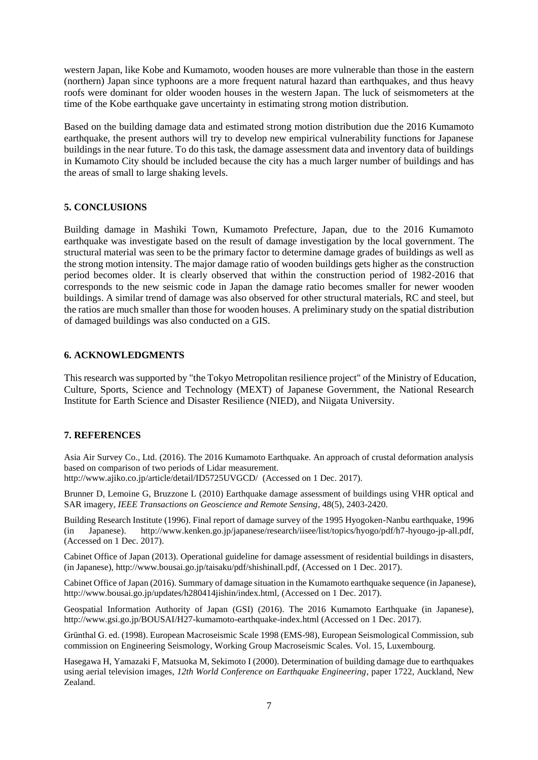western Japan, like Kobe and Kumamoto, wooden houses are more vulnerable than those in the eastern (northern) Japan since typhoons are a more frequent natural hazard than earthquakes, and thus heavy roofs were dominant for older wooden houses in the western Japan. The luck of seismometers at the time of the Kobe earthquake gave uncertainty in estimating strong motion distribution.

Based on the building damage data and estimated strong motion distribution due the 2016 Kumamoto earthquake, the present authors will try to develop new empirical vulnerability functions for Japanese buildings in the near future. To do this task, the damage assessment data and inventory data of buildings in Kumamoto City should be included because the city has a much larger number of buildings and has the areas of small to large shaking levels.

# **5. CONCLUSIONS**

Building damage in Mashiki Town, Kumamoto Prefecture, Japan, due to the 2016 Kumamoto earthquake was investigate based on the result of damage investigation by the local government. The structural material was seen to be the primary factor to determine damage grades of buildings as well as the strong motion intensity. The major damage ratio of wooden buildings gets higher as the construction period becomes older. It is clearly observed that within the construction period of 1982-2016 that corresponds to the new seismic code in Japan the damage ratio becomes smaller for newer wooden buildings. A similar trend of damage was also observed for other structural materials, RC and steel, but the ratios are much smaller than those for wooden houses. A preliminary study on the spatial distribution of damaged buildings was also conducted on a GIS.

# **6. ACKNOWLEDGMENTS**

This research was supported by "the Tokyo Metropolitan resilience project" of the Ministry of Education, Culture, Sports, Science and Technology (MEXT) of Japanese Government, the National Research Institute for Earth Science and Disaster Resilience (NIED), and Niigata University.

## **7. REFERENCES**

Asia Air Survey Co., Ltd. (2016). The 2016 Kumamoto Earthquake. An approach of crustal deformation analysis based on comparison of two periods of Lidar measurement.

http://www.ajiko.co.jp/article/detail/ID5725UVGCD/ (Accessed on 1 Dec. 2017).

Brunner D, Lemoine G, Bruzzone L (2010) Earthquake damage assessment of buildings using VHR optical and SAR imagery, *IEEE Transactions on Geoscience and Remote Sensing*, 48(5), 2403-2420.

Building Research Institute (1996). Final report of damage survey of the 1995 Hyogoken-Nanbu earthquake, 1996 (in Japanese). http://www.kenken.go.jp/japanese/research/iisee/list/topics/hyogo/pdf/h7-hyougo-jp-all.pdf, (Accessed on 1 Dec. 2017).

Cabinet Office of Japan (2013). Operational guideline for damage assessment of residential buildings in disasters, (in Japanese), http://www.bousai.go.jp/taisaku/pdf/shishinall.pdf, (Accessed on 1 Dec. 2017).

Cabinet Office of Japan (2016). Summary of damage situation in the Kumamoto earthquake sequence (in Japanese), http://www.bousai.go.jp/updates/h280414jishin/index.html, (Accessed on 1 Dec. 2017).

Geospatial Information Authority of Japan (GSI) (2016). The 2016 Kumamoto Earthquake (in Japanese), http://www.gsi.go.jp/BOUSAI/H27-kumamoto-earthquake-index.html (Accessed on 1 Dec. 2017).

Grünthal G. ed. (1998). European Macroseismic Scale 1998 (EMS-98), European Seismological Commission, sub commission on Engineering Seismology, Working Group Macroseismic Scales. Vol. 15, Luxembourg.

Hasegawa H, Yamazaki F, Matsuoka M, Sekimoto I (2000). Determination of building damage due to earthquakes using aerial television images, *12th World Conference on Earthquake Engineering*, paper 1722, Auckland, New Zealand.